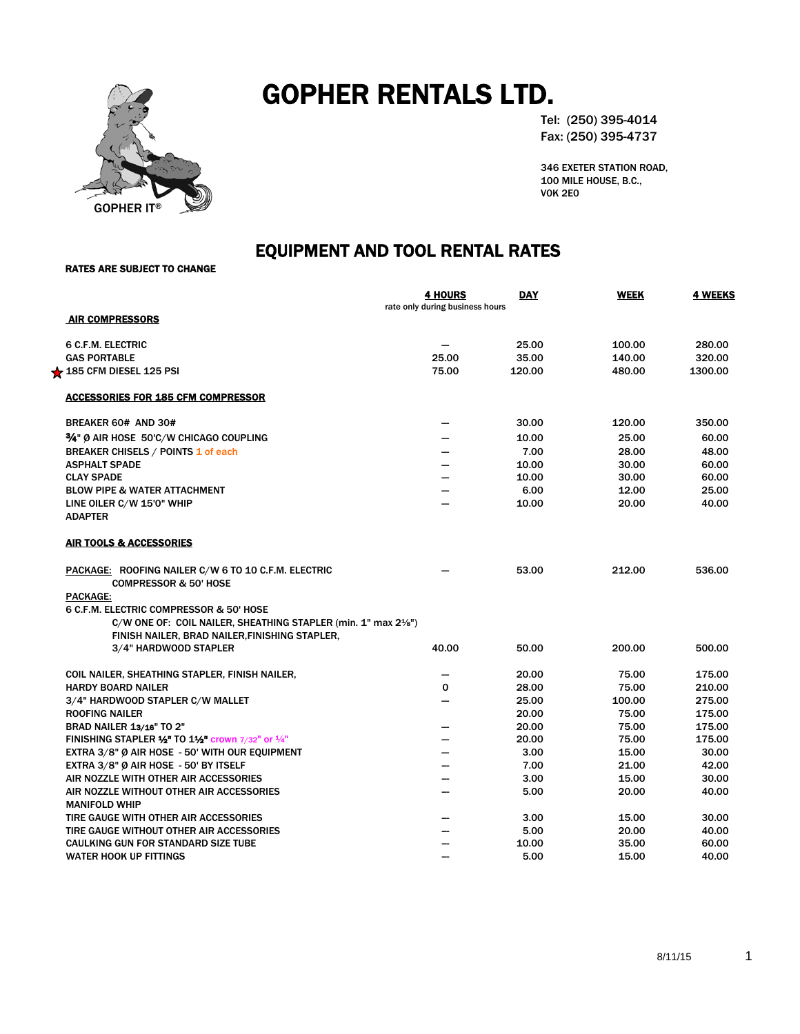

# GOPHER RENTALS LTD.

Tel: (250) 395-4014 Fax: (250) 395-4737

346 EXETER STATION ROAD, 100 MILE HOUSE, B.C., V0K 2E0

# EQUIPMENT AND TOOL RENTAL RATES<br>RATES ARE SUBJECT TO CHANGE

|                                                                                         | <b>4 HOURS</b><br>rate only during business hours | <b>DAY</b> | <b>WEEK</b> | <b>4 WEEKS</b> |
|-----------------------------------------------------------------------------------------|---------------------------------------------------|------------|-------------|----------------|
| <b>AIR COMPRESSORS</b>                                                                  |                                                   |            |             |                |
| <b>6 C.F.M. ELECTRIC</b>                                                                |                                                   | 25.00      | 100.00      | 280.00         |
| <b>GAS PORTABLE</b>                                                                     | 25.00                                             | 35.00      | 140.00      | 320.00         |
| $\bigstar$ 185 CFM DIESEL 125 PSI                                                       | 75.00                                             | 120.00     | 480.00      | 1300.00        |
| <b>ACCESSORIES FOR 185 CFM COMPRESSOR</b>                                               |                                                   |            |             |                |
| BREAKER 60# AND 30#                                                                     |                                                   | 30.00      | 120.00      | 350.00         |
| 3/4" Ø AIR HOSE 50'C/W CHICAGO COUPLING                                                 | -                                                 | 10.00      | 25.00       | 60.00          |
| <b>BREAKER CHISELS / POINTS 1 of each</b>                                               |                                                   | 7.00       | 28.00       | 48.00          |
| <b>ASPHALT SPADE</b>                                                                    |                                                   | 10.00      | 30.00       | 60.00          |
| <b>CLAY SPADE</b>                                                                       |                                                   | 10.00      | 30.00       | 60.00          |
| <b>BLOW PIPE &amp; WATER ATTACHMENT</b>                                                 |                                                   | 6.00       | 12.00       | 25.00          |
| LINE OILER C/W 15'0" WHIP<br><b>ADAPTER</b>                                             |                                                   | 10.00      | 20.00       | 40.00          |
| <b>AIR TOOLS &amp; ACCESSORIES</b>                                                      |                                                   |            |             |                |
| PACKAGE: ROOFING NAILER C/W 6 TO 10 C.F.M. ELECTRIC<br><b>COMPRESSOR &amp; 50' HOSE</b> |                                                   | 53.00      | 212.00      | 536.00         |
| PACKAGE:                                                                                |                                                   |            |             |                |
| 6 C.F.M. ELECTRIC COMPRESSOR & 50' HOSE                                                 |                                                   |            |             |                |
| C/W ONE OF: COIL NAILER, SHEATHING STAPLER (min. 1" max 21/8")                          |                                                   |            |             |                |
| FINISH NAILER, BRAD NAILER, FINISHING STAPLER,                                          |                                                   |            |             |                |
| 3/4" HARDWOOD STAPLER                                                                   | 40.00                                             | 50.00      | 200.00      | 500.00         |
| COIL NAILER, SHEATHING STAPLER, FINISH NAILER,                                          |                                                   | 20.00      | 75.00       | 175.00         |
| <b>HARDY BOARD NAILER</b>                                                               | 0                                                 | 28.00      | 75.00       | 210.00         |
| 3/4" HARDWOOD STAPLER C/W MALLET                                                        |                                                   | 25.00      | 100.00      | 275.00         |
| <b>ROOFING NAILER</b>                                                                   |                                                   | 20.00      | 75.00       | 175.00         |
| <b>BRAD NAILER 13/16" TO 2"</b>                                                         |                                                   | 20.00      | 75.00       | 175.00         |
| FINISHING STAPLER $\frac{1}{2}$ TO 1½ crown 7/32" or $\frac{1}{4}$ "                    |                                                   | 20.00      | 75.00       | 175.00         |
| EXTRA 3/8" Ø AIR HOSE - 50' WITH OUR EQUIPMENT                                          |                                                   | 3.00       | 15.00       | 30.00          |
| EXTRA 3/8" Ø AIR HOSE - 50' BY ITSELF                                                   |                                                   | 7.00       | 21.00       | 42.00          |
| AIR NOZZLE WITH OTHER AIR ACCESSORIES                                                   | —                                                 | 3.00       | 15.00       | 30.00          |
| AIR NOZZLE WITHOUT OTHER AIR ACCESSORIES                                                | —                                                 | 5.00       | 20.00       | 40.00          |
| <b>MANIFOLD WHIP</b>                                                                    |                                                   |            |             |                |
| TIRE GAUGE WITH OTHER AIR ACCESSORIES                                                   |                                                   | 3.00       | 15.00       | 30.00          |
| TIRE GAUGE WITHOUT OTHER AIR ACCESSORIES                                                |                                                   | 5.00       | 20.00       | 40.00          |
| CAULKING GUN FOR STANDARD SIZE TUBE                                                     |                                                   | 10.00      | 35.00       | 60.00          |
| <b>WATER HOOK UP FITTINGS</b>                                                           | --                                                | 5.00       | 15.00       | 40.00          |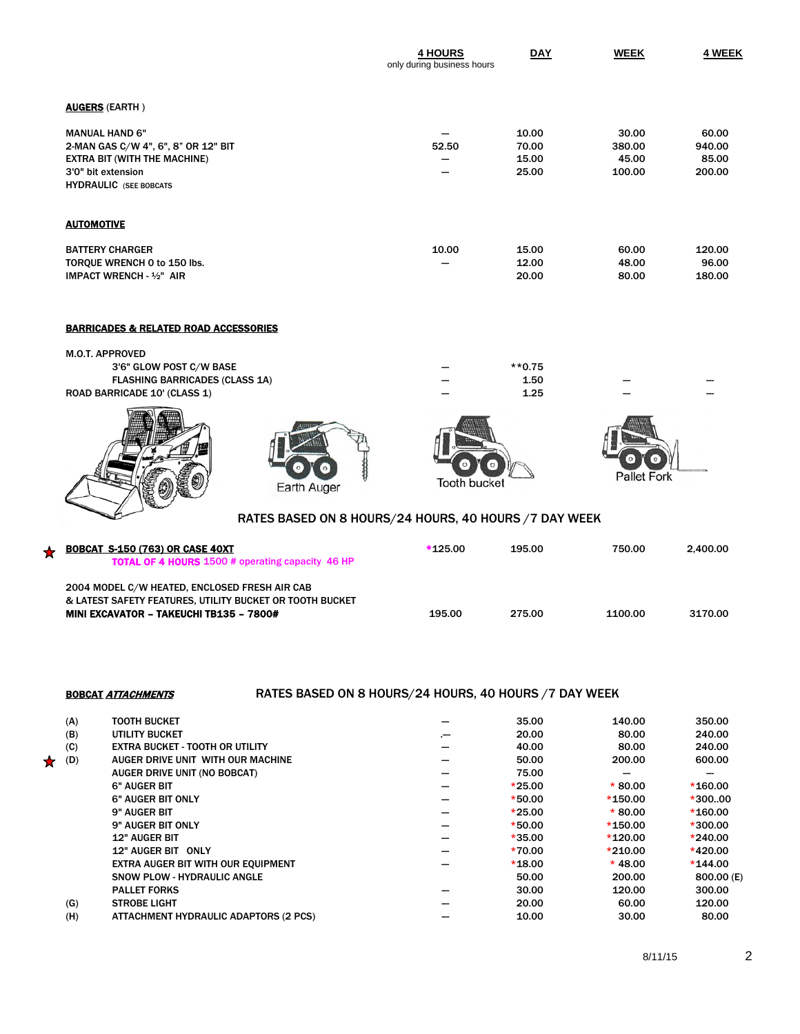|                                                                                                                                                            | <b>4 HOURS</b><br>only during business hours | <b>DAY</b>                       | <b>WEEK</b>                        | 4 WEEK                             |
|------------------------------------------------------------------------------------------------------------------------------------------------------------|----------------------------------------------|----------------------------------|------------------------------------|------------------------------------|
| <b>AUGERS (EARTH)</b>                                                                                                                                      |                                              |                                  |                                    |                                    |
| <b>MANUAL HAND 6"</b><br>2-MAN GAS C/W 4", 6", 8" OR 12" BIT<br><b>EXTRA BIT (WITH THE MACHINE)</b><br>3'0" bit extension<br><b>HYDRAULIC</b> (SEE BOBCATS | 52.50<br>--                                  | 10.00<br>70.00<br>15.00<br>25.00 | 30.00<br>380.00<br>45.00<br>100.00 | 60.00<br>940.00<br>85.00<br>200.00 |
| <b>AUTOMOTIVE</b>                                                                                                                                          |                                              |                                  |                                    |                                    |
| <b>BATTERY CHARGER</b><br>TORQUE WRENCH 0 to 150 lbs.<br>IMPACT WRENCH - 1/2" AIR                                                                          | 10.00<br>--                                  | 15.00<br>12.00<br>20.00          | 60.00<br>48.00<br>80.00            | 120.00<br>96.00<br>180.00          |
| <b>BARRICADES &amp; RELATED ROAD ACCESSORIES</b>                                                                                                           |                                              |                                  |                                    |                                    |

| <b>M.O.T. APPROVED</b>                |  |        |  |
|---------------------------------------|--|--------|--|
| 3'6" GLOW POST C/W BASE               |  | **0.75 |  |
| <b>FLASHING BARRICADES (CLASS 1A)</b> |  | 1.50   |  |
| ROAD BARRICADE 10' (CLASS 1)          |  | 1.25   |  |
|                                       |  |        |  |





| <b>Tooth bucket</b> |  |
|---------------------|--|



## RATES BASED ON 8 HOURS/24 HOURS, 40 HOURS /7 DAY WEEK

| <b>BOBCAT S-150 (763) OR CASE 40XT</b><br><b>TOTAL OF 4 HOURS 1500 # operating capacity 46 HP</b>         | $*125.00$ | 195.00 | 750.00  | 2.400.00 |
|-----------------------------------------------------------------------------------------------------------|-----------|--------|---------|----------|
| 2004 MODEL C/W HEATED. ENCLOSED FRESH AIR CAB<br>& LATEST SAFETY FEATURES, UTILITY BUCKET OR TOOTH BUCKET |           |        |         |          |
| MINI EXCAVATOR - TAKEUCHI TB135 - 7800#                                                                   | 195.00    | 275.00 | 1100.00 | 3170.00  |

BOBCAT ATTACHMENTS RATES BASED ON 8 HOURS/24 HOURS, 40 HOURS / 7 DAY WEEK

| (A)      | <b>TOOTH BUCKET</b>                          | 35.00    | 140.00    | 350.00     |
|----------|----------------------------------------------|----------|-----------|------------|
| (B)      | UTILITY BUCKET                               | 20.00    | 80.00     | 240.00     |
| (C)      | <b>EXTRA BUCKET - TOOTH OR UTILITY</b>       | 40.00    | 80.00     | 240.00     |
| ★<br>(D) | AUGER DRIVE UNIT WITH OUR MACHINE            | 50.00    | 200.00    | 600.00     |
|          | AUGER DRIVE UNIT (NO BOBCAT)                 | 75.00    |           |            |
|          | 6" AUGER BIT                                 | $*25.00$ | $*80.00$  | $*160.00$  |
|          | <b>6" AUGER BIT ONLY</b>                     | $*50.00$ | $*150.00$ | $*300,00$  |
|          | 9" AUGER BIT                                 | $*25.00$ | $*80.00$  | $*160.00$  |
|          | 9" AUGER BIT ONLY                            | $*50.00$ | $*150.00$ | $*300.00$  |
|          | <b>12" AUGER BIT</b>                         | $*35.00$ | $*120.00$ | $*240.00$  |
|          | 12" AUGER BIT ONLY                           | $*70.00$ | $*210.00$ | $*420.00$  |
|          | EXTRA AUGER BIT WITH OUR EQUIPMENT           | $*18.00$ | $*$ 48.00 | $*144.00$  |
|          | <b>SNOW PLOW - HYDRAULIC ANGLE</b>           | 50.00    | 200.00    | 800.00 (E) |
|          | <b>PALLET FORKS</b>                          | 30.00    | 120.00    | 300.00     |
| (G)      | <b>STROBE LIGHT</b>                          | 20.00    | 60.00     | 120.00     |
| (H)      | <b>ATTACHMENT HYDRAULIC ADAPTORS (2 PCS)</b> | 10.00    | 30.00     | 80.00      |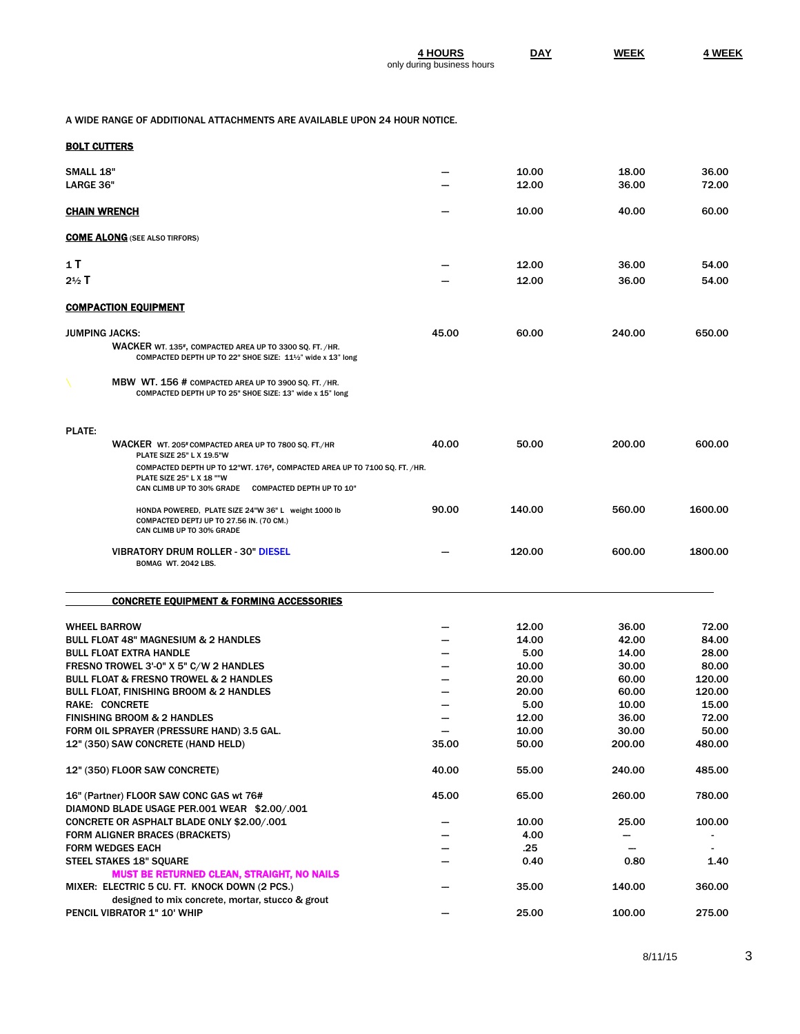| <b>4 HOURS</b>             | <b>DAY</b> | <b>WEEK</b> | <b>4 WEEK</b> |
|----------------------------|------------|-------------|---------------|
| only during business hours |            |             |               |

A WIDE RANGE OF ADDITIONAL ATTACHMENTS ARE AVAILABLE UPON 24 HOUR NOTICE.

| BOLT CUTTERS |
|--------------|
|--------------|

| <b>SMALL 18"</b>      |                                                                                                                                                                            |       | 10.00  | 18.00  | 36.00   |
|-----------------------|----------------------------------------------------------------------------------------------------------------------------------------------------------------------------|-------|--------|--------|---------|
| LARGE 36"             |                                                                                                                                                                            |       | 12.00  | 36.00  | 72.00   |
| <b>CHAIN WRENCH</b>   |                                                                                                                                                                            |       | 10.00  | 40.00  | 60.00   |
|                       | <b>COME ALONG</b> (SEE ALSO TIRFORS)                                                                                                                                       |       |        |        |         |
|                       |                                                                                                                                                                            |       |        |        |         |
| 1 T                   |                                                                                                                                                                            |       | 12.00  | 36.00  | 54.00   |
| $2\frac{1}{2}$ T      |                                                                                                                                                                            |       | 12.00  | 36.00  | 54.00   |
|                       | <b>COMPACTION EQUIPMENT</b>                                                                                                                                                |       |        |        |         |
| <b>JUMPING JACKS:</b> |                                                                                                                                                                            | 45.00 | 60.00  | 240.00 | 650.00  |
|                       | WACKER WT. 135 <sup>#</sup> , COMPACTED AREA UP TO 3300 SQ. FT. /HR.<br>COMPACTED DEPTH UP TO 22" SHOE SIZE: 111/2" wide x 13" long                                        |       |        |        |         |
|                       | MBW WT. 156 # COMPACTED AREA UP TO 3900 SQ. FT. /HR.<br>COMPACTED DEPTH UP TO 25" SHOE SIZE: 13" wide x 15" long                                                           |       |        |        |         |
| <b>PLATE:</b>         |                                                                                                                                                                            |       |        |        |         |
|                       | WACKER WT. 205# COMPACTED AREA UP TO 7800 SQ. FT./HR<br>PLATE SIZE 25" L X 19.5"W                                                                                          | 40.00 | 50.00  | 200.00 | 600.00  |
|                       | COMPACTED DEPTH UP TO 12"WT. 176 <sup>#</sup> , COMPACTED AREA UP TO 7100 SQ. FT. /HR.<br>PLATE SIZE 25" L X 18 ""W<br>CAN CLIMB UP TO 30% GRADE COMPACTED DEPTH UP TO 10" |       |        |        |         |
|                       | HONDA POWERED, PLATE SIZE 24"W 36" L weight 1000 lb<br>COMPACTED DEPTJ UP TO 27.56 IN. (70 CM.)<br>CAN CLIMB UP TO 30% GRADE                                               | 90.00 | 140.00 | 560.00 | 1600.00 |
|                       | <b>VIBRATORY DRUM ROLLER - 30" DIESEL</b><br>BOMAG WT. 2042 LBS.                                                                                                           |       | 120.00 | 600.00 | 1800.00 |
|                       | <b>CONCRETE EQUIPMENT &amp; FORMING ACCESSORIES</b>                                                                                                                        |       |        |        |         |
|                       | <b>WHEEL BARROW</b>                                                                                                                                                        |       | 12.00  | 36.00  | 72.00   |
|                       | <b>BULL FLOAT 48" MAGNESIUM &amp; 2 HANDLES</b>                                                                                                                            |       | 14.00  | 42.00  | 84.00   |
|                       | <b>BULL FLOAT EXTRA HANDLE</b>                                                                                                                                             |       | 5.00   | 14.00  | 28.00   |
|                       | FRESNO TROWEL 3'-0" X 5" C/W 2 HANDLES                                                                                                                                     |       | 10.00  | 30.00  | 80.00   |
|                       | <b>BULL FLOAT &amp; FRESNO TROWEL &amp; 2 HANDLES</b>                                                                                                                      |       | 20.00  | 60.00  | 120.00  |
|                       | <b>BULL FLOAT, FINISHING BROOM &amp; 2 HANDLES</b>                                                                                                                         |       | 20.00  | 60.00  | 120.00  |
|                       | <b>RAKE: CONCRETE</b>                                                                                                                                                      |       | 5.00   | 10.00  | 15.00   |
|                       | <b>FINISHING BROOM &amp; 2 HANDLES</b>                                                                                                                                     |       | 12.00  | 36.00  | 72.00   |
|                       | FORM OIL SPRAYER (PRESSURE HAND) 3.5 GAL.                                                                                                                                  |       | 10.00  | 30.00  | 50.00   |
|                       | 12" (350) SAW CONCRETE (HAND HELD)                                                                                                                                         | 35.00 | 50.00  | 200.00 | 480.00  |
|                       | <b>12" (350) FLOOR SAW CONCRETE)</b>                                                                                                                                       | 40.00 | 55.00  | 240.00 | 485.00  |
|                       | 16" (Partner) FLOOR SAW CONC GAS wt 76#<br>DIAMOND BLADE USAGE PER.001 WEAR \$2.00/.001                                                                                    | 45.00 | 65.00  | 260.00 | 780.00  |
|                       | CONCRETE OR ASPHALT BLADE ONLY \$2.00/.001                                                                                                                                 |       | 10.00  | 25.00  | 100.00  |
|                       | <b>FORM ALIGNER BRACES (BRACKETS)</b>                                                                                                                                      |       | 4.00   |        |         |
|                       | <b>FORM WEDGES EACH</b>                                                                                                                                                    |       | .25    | —      |         |
|                       | <b>STEEL STAKES 18" SQUARE</b>                                                                                                                                             |       | 0.40   | 0.80   | 1.40    |
|                       | <b>MUST BE RETURNED CLEAN, STRAIGHT, NO NAILS</b>                                                                                                                          |       |        |        |         |
|                       | MIXER: ELECTRIC 5 CU. FT. KNOCK DOWN (2 PCS.)                                                                                                                              |       | 35.00  | 140.00 | 360.00  |
|                       | designed to mix concrete, mortar, stucco & grout                                                                                                                           |       |        |        |         |
|                       | PENCIL VIBRATOR 1" 10' WHIP                                                                                                                                                |       | 25.00  | 100.00 | 275.00  |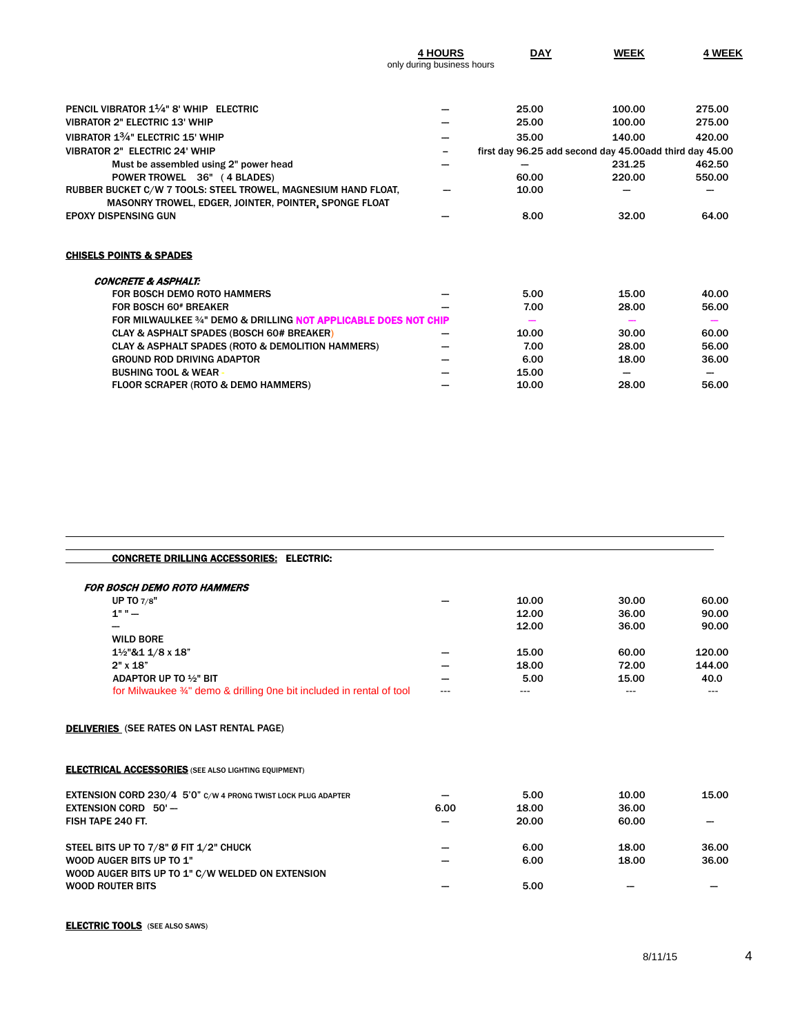|                                                                                                                         | <b>4 HOURS</b><br>only during business hours | <b>DAY</b>                                              | <b>WEEK</b> | 4 WEEK |
|-------------------------------------------------------------------------------------------------------------------------|----------------------------------------------|---------------------------------------------------------|-------------|--------|
|                                                                                                                         |                                              |                                                         |             |        |
| PENCIL VIBRATOR 1 <sup>1/4"</sup> 8' WHIP ELECTRIC                                                                      |                                              | 25.00                                                   | 100.00      | 275.00 |
| <b>VIBRATOR 2" ELECTRIC 13' WHIP</b>                                                                                    |                                              | 25.00                                                   | 100.00      | 275.00 |
| VIBRATOR 13/4" ELECTRIC 15' WHIP                                                                                        |                                              | 35.00                                                   | 140.00      | 420.00 |
| <b>VIBRATOR 2" ELECTRIC 24' WHIP</b>                                                                                    | -                                            | first day 96.25 add second day 45.00add third day 45.00 |             |        |
| Must be assembled using 2" power head                                                                                   |                                              |                                                         | 231.25      | 462.50 |
| POWER TROWEL 36" (4 BLADES)                                                                                             |                                              | 60.00                                                   | 220.00      | 550.00 |
| RUBBER BUCKET C/W 7 TOOLS: STEEL TROWEL, MAGNESIUM HAND FLOAT,<br>MASONRY TROWEL, EDGER, JOINTER, POINTER, SPONGE FLOAT |                                              | 10.00                                                   |             |        |
| <b>EPOXY DISPENSING GUN</b>                                                                                             |                                              | 8.00                                                    | 32.00       | 64.00  |
| <b>CHISELS POINTS &amp; SPADES</b>                                                                                      |                                              |                                                         |             |        |
| <b>CONCRETE &amp; ASPHALT:</b>                                                                                          |                                              |                                                         |             |        |
| <b>FOR BOSCH DEMO ROTO HAMMERS</b>                                                                                      |                                              | 5.00                                                    | 15.00       | 40.00  |
| FOR BOSCH 60 <sup>#</sup> BREAKER                                                                                       |                                              | 7.00                                                    | 28.00       | 56.00  |
| FOR MILWAULKEE 34" DEMO & DRILLING NOT APPLICABLE DOES NOT CHIP                                                         |                                              |                                                         |             |        |
| <b>CLAY &amp; ASPHALT SPADES (BOSCH 60# BREAKER)</b>                                                                    |                                              | 10.00                                                   | 30.00       | 60.00  |
| CLAY & ASPHALT SPADES (ROTO & DEMOLITION HAMMERS)                                                                       |                                              | 7.00                                                    | 28.00       | 56.00  |
| <b>GROUND ROD DRIVING ADAPTOR</b>                                                                                       |                                              | 6.00                                                    | 18.00       | 36.00  |
| <b>BUSHING TOOL &amp; WEAR-</b>                                                                                         |                                              | 15.00                                                   |             |        |
| <b>FLOOR SCRAPER (ROTO &amp; DEMO HAMMERS)</b>                                                                          |                                              | 10.00                                                   | 28.00       | 56.00  |

| CONCRETE DRILLING ACCESSORIES: ELECTRIC: |  |
|------------------------------------------|--|
|                                          |  |

| <b>FOR BOSCH DEMO ROTO HAMMERS</b>                                   |      |       |       |        |
|----------------------------------------------------------------------|------|-------|-------|--------|
| UP TO 7/8"                                                           |      | 10.00 | 30.00 | 60.00  |
| $1" " -$                                                             |      | 12.00 | 36.00 | 90.00  |
|                                                                      |      | 12.00 | 36.00 | 90.00  |
| <b>WILD BORE</b>                                                     |      |       |       |        |
| 11/2"&1 1/8 x 18"                                                    |      | 15.00 | 60.00 | 120.00 |
| $2"$ x $18"$                                                         |      | 18.00 | 72.00 | 144.00 |
| ADAPTOR UP TO 1/2" BIT                                               |      | 5.00  | 15.00 | 40.0   |
| for Milwaukee 34" demo & drilling One bit included in rental of tool |      | ---   | ---   |        |
| <b>DELIVERIES</b> (SEE RATES ON LAST RENTAL PAGE)                    |      |       |       |        |
| <b>ELECTRICAL ACCESSORIES</b> (SEE ALSO LIGHTING EQUIPMENT)          |      |       |       |        |
| EXTENSION CORD 230/4 5'0" C/W 4 PRONG TWIST LOCK PLUG ADAPTER        |      | 5.00  | 10.00 | 15.00  |
| <b>EXTENSION CORD 50'-</b>                                           | 6.00 | 18.00 | 36.00 |        |
| FISH TAPE 240 FT.                                                    |      | 20.00 | 60.00 |        |
| STEEL BITS UP TO 7/8" Ø FIT 1/2" CHUCK                               |      | 6.00  | 18.00 | 36.00  |
| <b>WOOD AUGER BITS UP TO 1"</b>                                      |      | 6.00  | 18.00 | 36.00  |
| WOOD AUGER BITS UP TO 1" C/W WELDED ON EXTENSION                     |      |       |       |        |
| <b>WOOD ROUTER BITS</b>                                              |      | 5.00  |       |        |

**ELECTRIC TOOLS** (SEE ALSO SAWS)

 $\overline{a}$  $\overline{a}$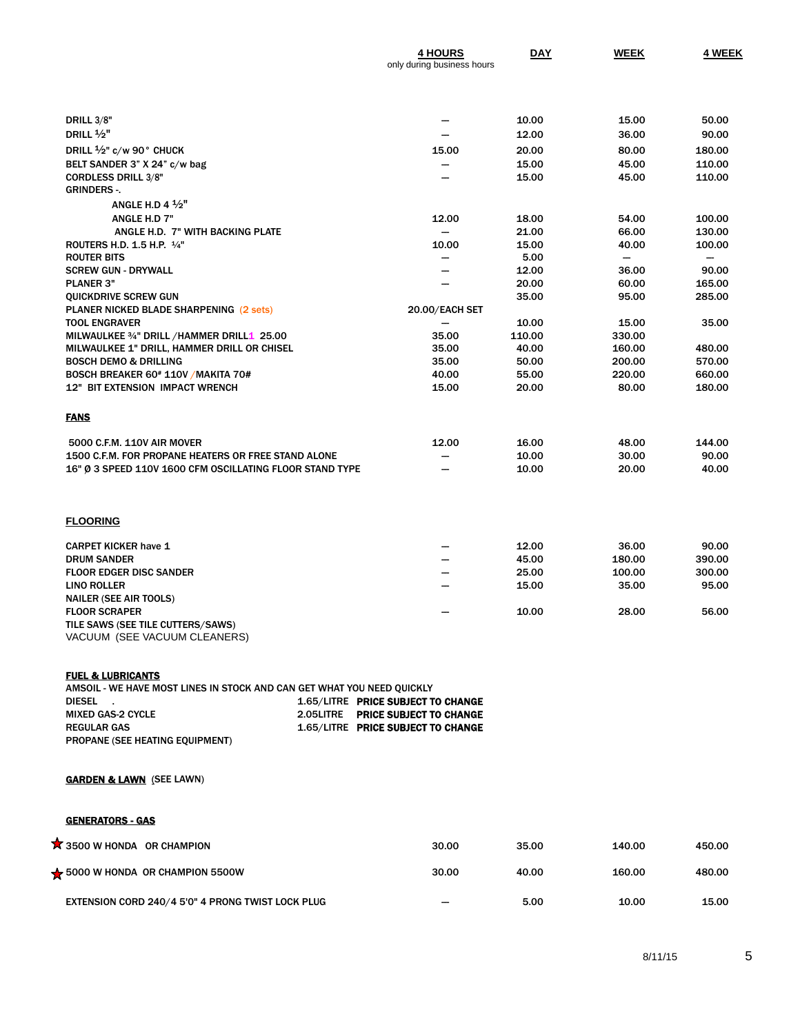|                                                          | <b>4 HOURS</b><br>only during business hours | <b>DAY</b> | <b>WEEK</b> | 4 WEEK |
|----------------------------------------------------------|----------------------------------------------|------------|-------------|--------|
|                                                          |                                              |            |             |        |
| <b>DRILL 3/8"</b>                                        |                                              | 10.00      | 15.00       | 50.00  |
|                                                          |                                              |            |             |        |
| DRILL $\frac{1}{2}$ "                                    |                                              | 12.00      | 36.00       | 90.00  |
| DRILL $\frac{1}{2}$ " c/w 90° CHUCK                      | 15.00                                        | 20.00      | 80.00       | 180.00 |
| BELT SANDER 3" X 24" c/w bag                             |                                              | 15.00      | 45.00       | 110.00 |
| <b>CORDLESS DRILL 3/8"</b>                               |                                              | 15.00      | 45.00       | 110.00 |
| <b>GRINDERS-.</b>                                        |                                              |            |             |        |
| ANGLE H.D 4 $\frac{1}{2}$ "                              |                                              |            |             |        |
| ANGLE H.D 7"                                             | 12.00                                        | 18.00      | 54.00       | 100.00 |
| ANGLE H.D. 7" WITH BACKING PLATE                         |                                              | 21.00      | 66.00       | 130.00 |
| ROUTERS H.D. 1.5 H.P. 1/4"                               | 10.00                                        | 15.00      | 40.00       | 100.00 |
| <b>ROUTER BITS</b>                                       |                                              | 5.00       |             |        |
| <b>SCREW GUN - DRYWALL</b>                               |                                              | 12.00      | 36.00       | 90.00  |
| <b>PLANER 3"</b>                                         |                                              | 20.00      | 60.00       | 165.00 |
| QUICKDRIVE SCREW GUN                                     |                                              | 35.00      | 95.00       | 285.00 |
| PLANER NICKED BLADE SHARPENING (2 sets)                  | 20.00/EACH SET                               |            |             |        |
| <b>TOOL ENGRAVER</b>                                     |                                              | 10.00      | 15.00       | 35.00  |
| MILWAULKEE 3/4" DRILL /HAMMER DRILL1 25.00               | 35.00                                        | 110.00     | 330.00      |        |
| MILWAULKEE 1" DRILL, HAMMER DRILL OR CHISEL              | 35.00                                        | 40.00      | 160.00      | 480.00 |
| <b>BOSCH DEMO &amp; DRILLING</b>                         | 35.00                                        | 50.00      | 200.00      | 570.00 |
| BOSCH BREAKER 60# 110V / MAKITA 70#                      | 40.00                                        | 55.00      | 220.00      | 660.00 |
| <b>12" BIT EXTENSION IMPACT WRENCH</b>                   | 15.00                                        | 20.00      | 80.00       | 180.00 |
| <b>FANS</b>                                              |                                              |            |             |        |
| 5000 C.F.M. 110V AIR MOVER                               | 12.00                                        | 16.00      | 48.00       | 144.00 |
| 1500 C.F.M. FOR PROPANE HEATERS OR FREE STAND ALONE      | --                                           | 10.00      | 30.00       | 90.00  |
| 16" Ø 3 SPEED 110V 1600 CFM OSCILLATING FLOOR STAND TYPE |                                              | 10.00      | 20.00       | 40.00  |
| <b>FLOORING</b>                                          |                                              |            |             |        |
| <b>CARPET KICKER have 1</b>                              |                                              | 12.00      | 36.00       | 90.00  |
|                                                          |                                              |            |             |        |

| <b>CARPET KICKER have 1</b>       |                          | 12.00 | 36.00  | 90.00  |
|-----------------------------------|--------------------------|-------|--------|--------|
| <b>DRUM SANDER</b>                |                          | 45.00 | 180.00 | 390.00 |
| <b>FLOOR EDGER DISC SANDER</b>    |                          | 25.00 | 100.00 | 300.00 |
| LINO ROLLER                       | $\overline{\phantom{a}}$ | 15.00 | 35.00  | 95.00  |
| <b>NAILER (SEE AIR TOOLS)</b>     |                          |       |        |        |
| <b>FLOOR SCRAPER</b>              |                          | 10.00 | 28.00  | 56.00  |
| TILE SAWS (SEE TILE CUTTERS/SAWS) |                          |       |        |        |
| VACUUM (SEE VACUUM CLEANERS)      |                          |       |        |        |
|                                   |                          |       |        |        |

#### FUEL & LUBRICANTS

AMSOIL - WE HAVE MOST LINES IN STOCK AND CAN GET WHAT YOU NEED QUICKLY<br>DIESEL . DIESEL .<br>1.65/LITRE **PRICE SUBJECT TO CHANGE**<br>2.05LITRE **PRICE SUBJECT TO CHANGE** 2.05LITRE PRICE SUBJECT TO CHANGE REGULAR GAS **1.65/LITRE PRICE SUBJECT TO CHANGE** PROPANE (SEE HEATING EQUIPMENT)

### **GARDEN & LAWN** (SEE LAWN)

#### GENERATORS - GAS

| <b>X</b> 3500 W HONDA OR CHAMPION                        | 30.00                    | 35.00 | 140.00 | 450.00 |
|----------------------------------------------------------|--------------------------|-------|--------|--------|
| $\frac{1}{2}$ 5000 W HONDA OR CHAMPION 5500W             | 30.00                    | 40.00 | 160.00 | 480.00 |
| <b>EXTENSION CORD 240/4 5'0" 4 PRONG TWIST LOCK PLUG</b> | $\overline{\phantom{a}}$ | 5.00  | 10.00  | 15.00  |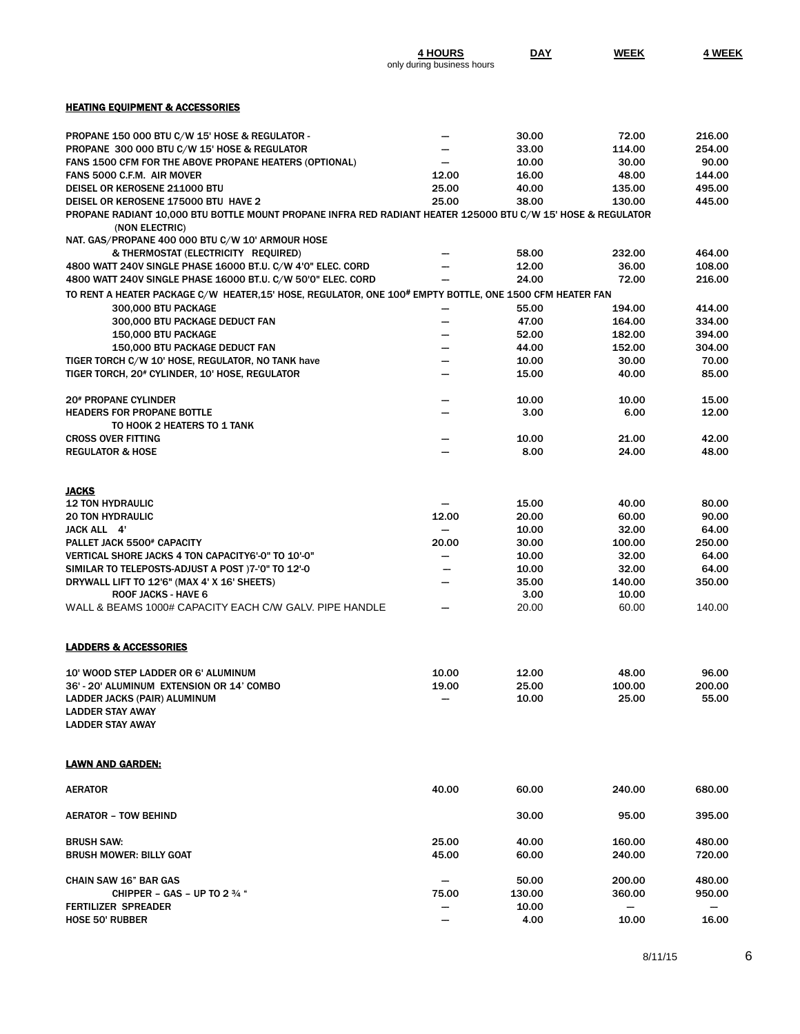|                                                                                                                                | <b>4 HOURS</b><br>only during business hours | DAY           | <b>WEEK</b> | 4 WEEK |
|--------------------------------------------------------------------------------------------------------------------------------|----------------------------------------------|---------------|-------------|--------|
|                                                                                                                                |                                              |               |             |        |
| <b>HEATING EQUIPMENT &amp; ACCESSORIES</b>                                                                                     |                                              |               |             |        |
| PROPANE 150 000 BTU C/W 15' HOSE & REGULATOR -                                                                                 |                                              | 30.00         | 72.00       | 216.00 |
| PROPANE 300 000 BTU C/W 15' HOSE & REGULATOR                                                                                   |                                              | 33.00         | 114.00      | 254.00 |
| FANS 1500 CFM FOR THE ABOVE PROPANE HEATERS (OPTIONAL)                                                                         |                                              | 10.00         | 30.00       | 90.00  |
| FANS 5000 C.F.M. AIR MOVER                                                                                                     | 12.00                                        | 16.00         | 48.00       | 144.00 |
| DEISEL OR KEROSENE 211000 BTU                                                                                                  | 25.00                                        | 40.00         | 135.00      | 495.00 |
| DEISEL OR KEROSENE 175000 BTU HAVE 2                                                                                           | 25.00                                        | 38.00         | 130.00      | 445.00 |
| PROPANE RADIANT 10,000 BTU BOTTLE MOUNT PROPANE INFRA RED RADIANT HEATER 125000 BTU C/W 15' HOSE & REGULATOR<br>(NON ELECTRIC) |                                              |               |             |        |
| NAT. GAS/PROPANE 400 000 BTU C/W 10' ARMOUR HOSE                                                                               |                                              |               |             |        |
| & THERMOSTAT (ELECTRICITY REQUIRED)                                                                                            |                                              | 58.00         | 232.00      | 464.00 |
| 4800 WATT 240V SINGLE PHASE 16000 BT.U. C/W 4'0" ELEC. CORD                                                                    |                                              | 12.00         | 36.00       | 108.00 |
| 4800 WATT 240V SINGLE PHASE 16000 BT.U. C/W 50'0" ELEC. CORD                                                                   |                                              | 24.00         | 72.00       | 216.00 |
| TO RENT A HEATER PACKAGE C/W HEATER,15' HOSE, REGULATOR, ONE 100# EMPTY BOTTLE, ONE 1500 CFM HEATER FAN                        |                                              |               |             |        |
| 300.000 BTU PACKAGE                                                                                                            |                                              | 55.00         | 194.00      | 414.00 |
| 300,000 BTU PACKAGE DEDUCT FAN                                                                                                 |                                              | 47.00         | 164.00      | 334.00 |
| 150,000 BTU PACKAGE                                                                                                            |                                              | 52.00         | 182.00      | 394.00 |
| 150,000 BTU PACKAGE DEDUCT FAN                                                                                                 |                                              | 44.00         | 152.00      | 304.00 |
| TIGER TORCH C/W 10' HOSE, REGULATOR, NO TANK have                                                                              |                                              | 10.00         | 30.00       | 70.00  |
| TIGER TORCH, 20 <sup>#</sup> CYLINDER, 10' HOSE, REGULATOR                                                                     |                                              | 15.00         | 40.00       | 85.00  |
|                                                                                                                                |                                              |               |             |        |
| <b>20<sup>#</sup> PROPANE CYLINDER</b>                                                                                         |                                              | 10.00         | 10.00       | 15.00  |
| <b>HEADERS FOR PROPANE BOTTLE</b>                                                                                              |                                              | 3.00          | 6.00        | 12.00  |
| TO HOOK 2 HEATERS TO 1 TANK                                                                                                    |                                              |               |             |        |
| <b>CROSS OVER FITTING</b>                                                                                                      |                                              | 10.00         | 21.00       | 42.00  |
| <b>REGULATOR &amp; HOSE</b>                                                                                                    |                                              | 8.00          |             |        |
|                                                                                                                                |                                              |               | 24.00       | 48.00  |
| JACKS                                                                                                                          |                                              |               |             |        |
| <b>12 TON HYDRAULIC</b>                                                                                                        |                                              | 15.00         | 40.00       | 80.00  |
| <b>20 TON HYDRAULIC</b>                                                                                                        | 12.00                                        | 20.00         | 60.00       | 90.00  |
| JACK ALL 4'                                                                                                                    |                                              | 10.00         | 32.00       | 64.00  |
| PALLET JACK 5500# CAPACITY                                                                                                     | 20.00                                        | 30.00         | 100.00      | 250.00 |
| <b>VERTICAL SHORE JACKS 4 TON CAPACITY6'-0" TO 10'-0"</b>                                                                      |                                              | 10.00         | 32.00       | 64.00  |
| SIMILAR TO TELEPOSTS-ADJUST A POST )7-'0" TO 12'-0                                                                             |                                              | 10.00         | 32.00       | 64.00  |
| DRYWALL LIFT TO 12'6" (MAX 4' X 16' SHEETS)                                                                                    |                                              | 35.00         | 140.00      | 350.00 |
| <b>ROOF JACKS - HAVE 6</b>                                                                                                     |                                              | 3.00          | 10.00       |        |
| WALL & BEAMS 1000# CAPACITY EACH C/W GALV. PIPE HANDLE                                                                         |                                              | 20.00         | 60.00       | 140.00 |
| <b>LADDERS &amp; ACCESSORIES</b>                                                                                               |                                              |               |             |        |
| 10' WOOD STEP LADDER OR 6' ALUMINUM                                                                                            | 10.00                                        | 12.00         | 48.00       | 96.00  |
| 36' - 20' ALUMINUM EXTENSION OR 14' COMBO                                                                                      | 19.00                                        | 25.00         | 100.00      | 200.00 |
| LADDER JACKS (PAIR) ALUMINUM                                                                                                   |                                              | 10.00         | 25.00       | 55.00  |
| LADDER STAY AWAY                                                                                                               |                                              |               |             |        |
| <b>LADDER STAY AWAY</b>                                                                                                        |                                              |               |             |        |
| LAWN AND GARDEN:                                                                                                               |                                              |               |             |        |
| AERATOR                                                                                                                        | 40.00                                        | 60.00         | 240.00      | 680.00 |
| AERATOR – TOW BEHIND                                                                                                           |                                              | 30.00         | 95.00       | 395.00 |
| <b>BRUSH SAW:</b>                                                                                                              | 25.00                                        | 40.00         | 160.00      | 480.00 |
| <b>BRUSH MOWER: BILLY GOAT</b>                                                                                                 | 45.00                                        | 60.00         | 240.00      | 720.00 |
|                                                                                                                                |                                              |               |             |        |
| <b>CHAIN SAW 16" BAR GAS</b>                                                                                                   |                                              | 50.00         | 200.00      | 480.00 |
| CHIPPER - GAS - UP TO 2 $\frac{3}{4}$ "                                                                                        | 75.00                                        | 130.00        | 360.00      | 950.00 |
| FERTILIZER SPREADER                                                                                                            |                                              |               |             |        |
|                                                                                                                                |                                              | 10.00<br>4.00 |             | -      |
| <b>HOSE 50' RUBBER</b>                                                                                                         |                                              |               | 10.00       | 16.00  |

8/11/15 6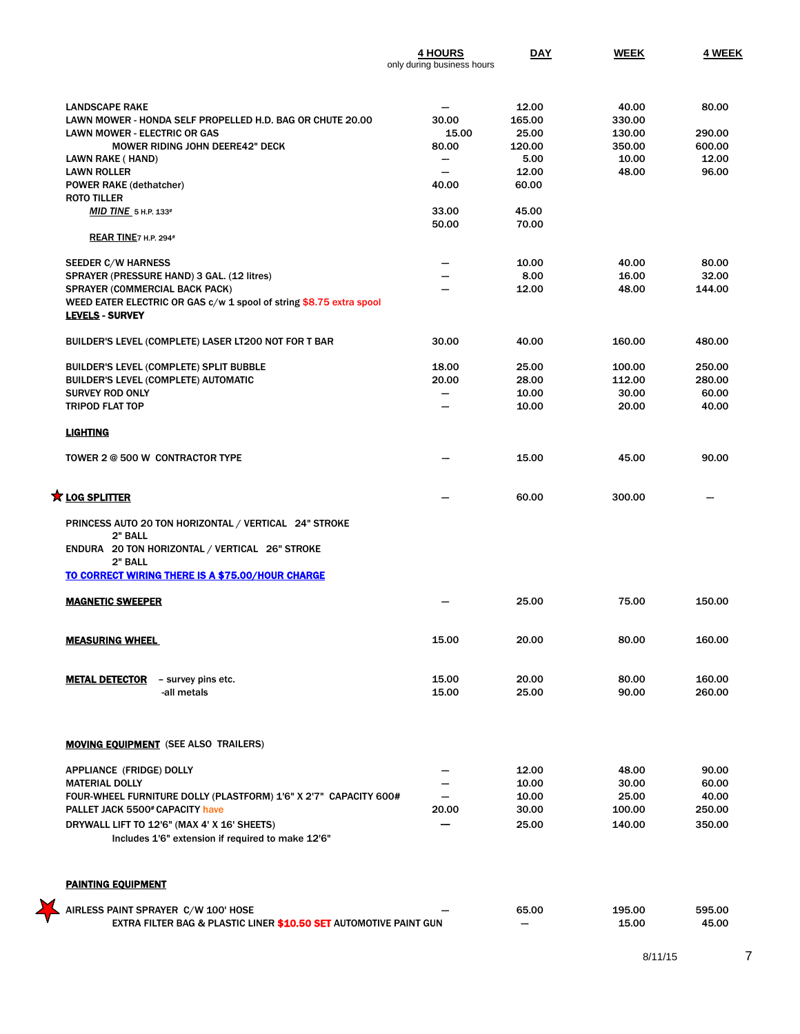|                                                                                               | <b>4 HOURS</b><br>only during business hours | <b>DAY</b> | <b>WEEK</b>     | 4 WEEK          |
|-----------------------------------------------------------------------------------------------|----------------------------------------------|------------|-----------------|-----------------|
|                                                                                               |                                              |            |                 |                 |
| <b>LANDSCAPE RAKE</b>                                                                         |                                              | 12.00      | 40.00           | 80.00           |
| LAWN MOWER - HONDA SELF PROPELLED H.D. BAG OR CHUTE 20.00                                     | 30.00                                        | 165.00     | 330.00          |                 |
| <b>LAWN MOWER - ELECTRIC OR GAS</b>                                                           | 15.00                                        | 25.00      | 130.00          | 290.00          |
| <b>MOWER RIDING JOHN DEERE42" DECK</b>                                                        | 80.00                                        | 120.00     | 350.00          | 600.00          |
| LAWN RAKE (HAND)                                                                              | -                                            | 5.00       | 10.00           | 12.00           |
| <b>LAWN ROLLER</b>                                                                            | $\overline{\phantom{a}}$                     | 12.00      | 48.00           | 96.00           |
| <b>POWER RAKE (dethatcher)</b>                                                                | 40.00                                        | 60.00      |                 |                 |
| <b>ROTO TILLER</b>                                                                            |                                              |            |                 |                 |
| MID TINE $5$ H.P. 133#                                                                        | 33.00                                        | 45.00      |                 |                 |
|                                                                                               | 50.00                                        | 70.00      |                 |                 |
| REAR TINE7 H.P. 294#                                                                          |                                              |            |                 |                 |
| <b>SEEDER C/W HARNESS</b>                                                                     | -                                            | 10.00      | 40.00           | 80.00           |
| SPRAYER (PRESSURE HAND) 3 GAL. (12 litres)                                                    |                                              | 8.00       | 16.00           | 32.00           |
| SPRAYER (COMMERCIAL BACK PACK)                                                                |                                              | 12.00      | 48.00           | 144.00          |
| WEED EATER ELECTRIC OR GAS c/w 1 spool of string \$8.75 extra spool<br><b>LEVELS - SURVEY</b> |                                              |            |                 |                 |
|                                                                                               | 30.00                                        | 40.00      | 160.00          | 480.00          |
| BUILDER'S LEVEL (COMPLETE) LASER LT200 NOT FOR T BAR                                          |                                              |            |                 |                 |
| BUILDER'S LEVEL (COMPLETE) SPLIT BUBBLE                                                       | 18.00                                        | 25.00      | 100.00          | 250.00          |
| <b>BUILDER'S LEVEL (COMPLETE) AUTOMATIC</b>                                                   | 20.00                                        | 28.00      | 112.00          | 280.00          |
| <b>SURVEY ROD ONLY</b>                                                                        | $\overline{\phantom{0}}$                     | 10.00      | 30.00           | 60.00           |
| <b>TRIPOD FLAT TOP</b>                                                                        |                                              | 10.00      | 20.00           | 40.00           |
| <b>LIGHTING</b>                                                                               |                                              |            |                 |                 |
| TOWER 2 @ 500 W CONTRACTOR TYPE                                                               |                                              | 15.00      | 45.00           | 90.00           |
| $\bigstar$ LOG SPLITTER                                                                       |                                              | 60.00      | 300.00          |                 |
| PRINCESS AUTO 20 TON HORIZONTAL / VERTICAL 24" STROKE                                         |                                              |            |                 |                 |
| 2" BALL                                                                                       |                                              |            |                 |                 |
| ENDURA 20 TON HORIZONTAL / VERTICAL 26" STROKE<br>2" BALL                                     |                                              |            |                 |                 |
| TO CORRECT WIRING THERE IS A \$75.00/HOUR CHARGE                                              |                                              |            |                 |                 |
| <b>MAGNETIC SWEEPER</b>                                                                       |                                              | 25.00      | 75.00           | 150.00          |
| <b>MEASURING WHEEL</b>                                                                        | 15.00                                        | 20.00      | 80.00           | 160.00          |
|                                                                                               |                                              |            |                 |                 |
| <b>METAL DETECTOR</b><br>- survey pins etc.                                                   | 15.00                                        | 20.00      | 80.00           | 160.00          |
| -all metals                                                                                   | 15.00                                        | 25.00      | 90.00           | 260.00          |
|                                                                                               |                                              |            |                 |                 |
| <b>MOVING EQUIPMENT</b> (SEE ALSO TRAILERS)                                                   |                                              |            |                 |                 |
| APPLIANCE (FRIDGE) DOLLY                                                                      |                                              | 12.00      | 48.00           | 90.00           |
| <b>MATERIAL DOLLY</b>                                                                         |                                              | 10.00      | 30.00           | 60.00           |
| FOUR-WHEEL FURNITURE DOLLY (PLASTFORM) 1'6" X 2'7" CAPACITY 600#                              |                                              | 10.00      | 25.00           | 40.00           |
| PALLET JACK 5500# CAPACITY have                                                               | 20.00                                        | 30.00      | 100.00          | 250.00          |
| DRYWALL LIFT TO 12'6" (MAX 4' X 16' SHEETS)                                                   |                                              | 25.00      | 140.00          | 350.00          |
| Includes 1'6" extension if required to make 12'6"                                             |                                              |            |                 |                 |
| <b>PAINTING EQUIPMENT</b>                                                                     |                                              |            |                 |                 |
| AIRLESS PAINT SPRAYER C/W 100' HOSE                                                           |                                              |            |                 |                 |
|                                                                                               |                                              | 65.00<br>- | 195.00<br>15.00 | 595.00<br>45.00 |
| EXTRA FILTER BAG & PLASTIC LINER \$10.50 SET AUTOMOTIVE PAINT GUN                             |                                              |            |                 |                 |

¥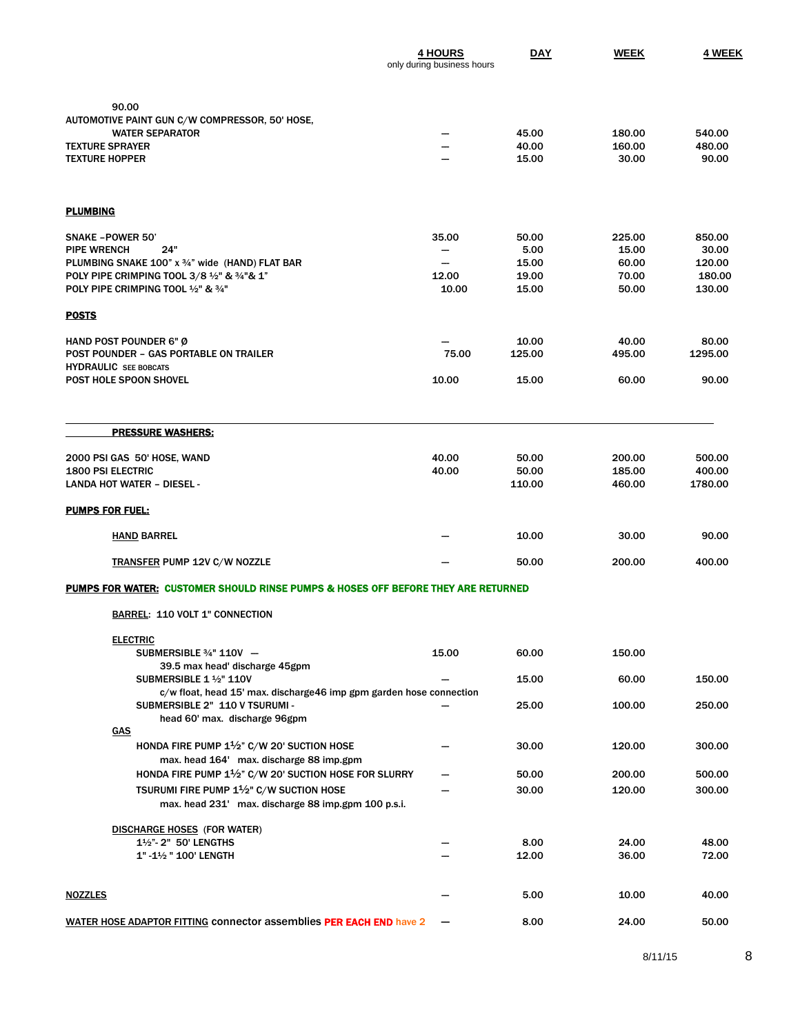|                                                                                                       | <b>4 HOURS</b><br>only during business hours | <b>DAY</b>     | <b>WEEK</b>      | 4 WEEK            |
|-------------------------------------------------------------------------------------------------------|----------------------------------------------|----------------|------------------|-------------------|
|                                                                                                       |                                              |                |                  |                   |
| 90.00                                                                                                 |                                              |                |                  |                   |
| AUTOMOTIVE PAINT GUN C/W COMPRESSOR, 50' HOSE,<br><b>WATER SEPARATOR</b>                              |                                              | 45.00          | 180.00           | 540.00            |
| <b>TEXTURE SPRAYER</b>                                                                                |                                              | 40.00          | 160.00           | 480.00            |
| <b>TEXTURE HOPPER</b>                                                                                 |                                              | 15.00          | 30.00            | 90.00             |
| <b>PLUMBING</b>                                                                                       |                                              |                |                  |                   |
| <b>SNAKE - POWER 50'</b>                                                                              | 35.00                                        | 50.00          | 225.00           | 850.00            |
| <b>PIPE WRENCH</b><br>24"                                                                             | --                                           | 5.00           | 15.00            | 30.00             |
| PLUMBING SNAKE 100" x 3/4" wide (HAND) FLAT BAR                                                       | --                                           | 15.00          | 60.00            | 120.00            |
| POLY PIPE CRIMPING TOOL 3/8 1/2" & 3/4"& 1"                                                           | 12.00                                        | 19.00          | 70.00            | 180.00            |
| POLY PIPE CRIMPING TOOL 1/2" & 3/4"                                                                   | 10.00                                        | 15.00          | 50.00            | 130.00            |
| <b>POSTS</b>                                                                                          |                                              |                |                  |                   |
| HAND POST POUNDER 6" Ø                                                                                |                                              | 10.00          | 40.00            | 80.00             |
| POST POUNDER - GAS PORTABLE ON TRAILER<br><b>HYDRAULIC</b> SEE BOBCATS                                | 75.00                                        | 125.00         | 495.00           | 1295.00           |
| POST HOLE SPOON SHOVEL                                                                                | 10.00                                        | 15.00          | 60.00            | 90.00             |
| <b>PRESSURE WASHERS:</b>                                                                              |                                              |                |                  |                   |
|                                                                                                       |                                              |                |                  |                   |
| 2000 PSI GAS 50' HOSE, WAND<br><b>1800 PSI ELECTRIC</b>                                               | 40.00                                        | 50.00<br>50.00 | 200.00<br>185.00 | 500.00            |
| <b>LANDA HOT WATER - DIESEL -</b>                                                                     | 40.00                                        | 110.00         | 460.00           | 400.00<br>1780.00 |
| <b>PUMPS FOR FUEL:</b>                                                                                |                                              |                |                  |                   |
| <b>HAND BARREL</b>                                                                                    |                                              | 10.00          | 30.00            | 90.00             |
| <b>TRANSFER PUMP 12V C/W NOZZLE</b>                                                                   |                                              | 50.00          | 200.00           | 400.00            |
| PUMPS FOR WATER: CUSTOMER SHOULD RINSE PUMPS & HOSES OFF BEFORE THEY ARE RETURNED                     |                                              |                |                  |                   |
| <b>BARREL: 110 VOLT 1" CONNECTION</b>                                                                 |                                              |                |                  |                   |
| <b>ELECTRIC</b>                                                                                       |                                              |                |                  |                   |
| SUBMERSIBLE 3/4" 110V -<br>39.5 max head' discharge 45gpm                                             | 15.00                                        | 60.00          | 150.00           |                   |
| SUBMERSIBLE 1 1/2" 110V                                                                               |                                              | 15.00          | 60.00            | 150.00            |
| c/w float, head 15' max. discharge46 imp gpm garden hose connection<br>SUBMERSIBLE 2" 110 V TSURUMI - |                                              | 25.00          | 100.00           | 250.00            |
| head 60' max. discharge 96gpm                                                                         |                                              |                |                  |                   |
| <b>GAS</b><br>HONDA FIRE PUMP 1 <sup>1</sup> /2" C/W 20' SUCTION HOSE                                 |                                              | 30.00          | 120.00           | 300.00            |
| max. head 164' max. discharge 88 imp.gpm                                                              |                                              |                |                  |                   |
| HONDA FIRE PUMP 1 <sup>1</sup> /2" C/W 20' SUCTION HOSE FOR SLURRY                                    |                                              | 50.00          | 200.00           | 500.00            |
| TSURUMI FIRE PUMP 1 <sup>1</sup> /2" C/W SUCTION HOSE                                                 |                                              | 30.00          | 120.00           | 300.00            |
| max. head 231' max. discharge 88 imp.gpm 100 p.s.i.                                                   |                                              |                |                  |                   |
| <b>DISCHARGE HOSES</b> (FOR WATER)                                                                    |                                              |                |                  |                   |
| 11/2"-2" 50' LENGTHS                                                                                  |                                              | 8.00           | 24.00            | 48.00             |
| 1" - 11/2 " 100' LENGTH                                                                               |                                              | 12.00          | 36.00            | 72.00             |
| <b>NOZZLES</b>                                                                                        |                                              | 5.00           | 10.00            | 40.00             |
| WATER HOSE ADAPTOR FITTING connector assemblies PER EACH END have 2                                   |                                              | 8.00           | 24.00            | 50.00             |
|                                                                                                       |                                              |                |                  |                   |

8/11/15 8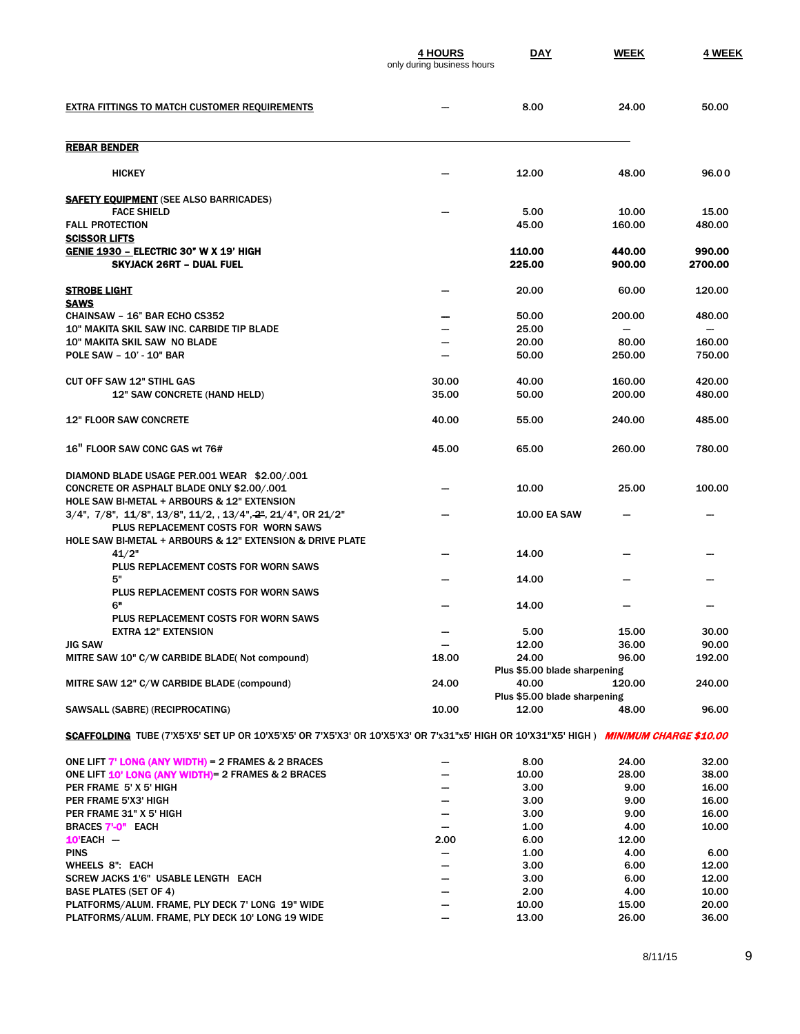|                                                                                                                                       | <b>4 HOURS</b><br>only during business hours | <b>DAY</b>                            | <b>WEEK</b>      | 4 WEEK            |
|---------------------------------------------------------------------------------------------------------------------------------------|----------------------------------------------|---------------------------------------|------------------|-------------------|
| <b>EXTRA FITTINGS TO MATCH CUSTOMER REQUIREMENTS</b>                                                                                  |                                              | 8.00                                  | 24.00            | 50.00             |
| <b>REBAR BENDER</b>                                                                                                                   |                                              |                                       |                  |                   |
| <b>HICKEY</b>                                                                                                                         |                                              | 12.00                                 | 48.00            | 96.00             |
| <b>SAFETY EQUIPMENT</b> (SEE ALSO BARRICADES)                                                                                         |                                              |                                       |                  |                   |
| <b>FACE SHIELD</b><br><b>FALL PROTECTION</b>                                                                                          |                                              | 5.00<br>45.00                         | 10.00<br>160.00  | 15.00<br>480.00   |
| <b>SCISSOR LIFTS</b>                                                                                                                  |                                              |                                       |                  |                   |
| <b>GENIE 1930 - ELECTRIC 30" W X 19' HIGH</b><br><b>SKYJACK 26RT - DUAL FUEL</b>                                                      |                                              | 110.00<br>225.00                      | 440.00<br>900.00 | 990.00<br>2700.00 |
| <b>STROBE LIGHT</b><br><b>SAWS</b>                                                                                                    |                                              | 20.00                                 | 60.00            | 120.00            |
| CHAINSAW - 16" BAR ECHO CS352                                                                                                         |                                              | 50.00                                 | 200.00           | 480.00            |
| 10" MAKITA SKIL SAW INC. CARBIDE TIP BLADE                                                                                            |                                              | 25.00                                 |                  |                   |
| 10" MAKITA SKIL SAW NO BLADE<br><b>POLE SAW - 10' - 10" BAR</b>                                                                       |                                              | 20.00<br>50.00                        | 80.00<br>250.00  | 160.00<br>750.00  |
|                                                                                                                                       |                                              |                                       |                  |                   |
| <b>CUT OFF SAW 12" STIHL GAS</b>                                                                                                      | 30.00                                        | 40.00                                 | 160.00           | 420.00            |
| 12" SAW CONCRETE (HAND HELD)                                                                                                          | 35.00                                        | 50.00                                 | 200.00           | 480.00            |
| <b>12" FLOOR SAW CONCRETE</b>                                                                                                         | 40.00                                        | 55.00                                 | 240.00           | 485.00            |
| <b>16" FLOOR SAW CONC GAS wt 76#</b>                                                                                                  | 45.00                                        | 65.00                                 | 260.00           | 780.00            |
| DIAMOND BLADE USAGE PER.001 WEAR \$2.00/.001                                                                                          |                                              |                                       |                  |                   |
| CONCRETE OR ASPHALT BLADE ONLY \$2.00/.001<br>HOLE SAW BI-METAL + ARBOURS & 12" EXTENSION                                             |                                              | 10.00                                 | 25.00            | 100.00            |
| 3/4", 7/8", 11/8", 13/8", 11/2, , 13/4", 2", 21/4", OR 21/2"                                                                          |                                              | <b>10.00 EA SAW</b>                   |                  |                   |
| PLUS REPLACEMENT COSTS FOR WORN SAWS                                                                                                  |                                              |                                       |                  |                   |
| HOLE SAW BI-METAL + ARBOURS & 12" EXTENSION & DRIVE PLATE                                                                             |                                              | 14.00                                 |                  |                   |
| 41/2"<br>PLUS REPLACEMENT COSTS FOR WORN SAWS                                                                                         |                                              |                                       |                  |                   |
| 5"                                                                                                                                    |                                              | 14.00                                 |                  |                   |
| PLUS REPLACEMENT COSTS FOR WORN SAWS                                                                                                  |                                              |                                       |                  |                   |
| 6"                                                                                                                                    |                                              | 14.00                                 |                  |                   |
| PLUS REPLACEMENT COSTS FOR WORN SAWS<br><b>EXTRA 12" EXTENSION</b>                                                                    |                                              | 5.00                                  | 15.00            | 30.00             |
| <b>JIG SAW</b>                                                                                                                        | -                                            | 12.00                                 | 36.00            | 90.00             |
| MITRE SAW 10" C/W CARBIDE BLADE(Not compound)                                                                                         | 18.00                                        | 24.00                                 | 96.00            | 192.00            |
|                                                                                                                                       |                                              | Plus \$5.00 blade sharpening          |                  |                   |
| MITRE SAW 12" C/W CARBIDE BLADE (compound)                                                                                            | 24.00                                        | 40.00                                 | 120.00           | 240.00            |
| SAWSALL (SABRE) (RECIPROCATING)                                                                                                       | 10.00                                        | Plus \$5.00 blade sharpening<br>12.00 | 48.00            | 96.00             |
|                                                                                                                                       |                                              |                                       |                  |                   |
| SCAFFOLDING TUBE (7'X5'X5' SET UP OR 10'X5'X5' OR 7'X5'X3' OR 10'X5'X3' OR 7'x31"x5' HIGH OR 10'X31"X5' HIGH ) MINIMUM CHARGE \$10.00 |                                              |                                       |                  |                   |
| ONE LIFT $7'$ LONG (ANY WIDTH) = 2 FRAMES & 2 BRACES                                                                                  |                                              | 8.00                                  | 24.00            | 32.00             |
| ONE LIFT 10' LONG (ANY WIDTH) = 2 FRAMES & 2 BRACES                                                                                   |                                              | 10.00                                 | 28.00            | 38.00             |
| PER FRAME 5' X 5' HIGH                                                                                                                | -                                            | 3.00                                  | 9.00             | 16.00             |
| PER FRAME 5'X3' HIGH<br>PER FRAME 31" X 5' HIGH                                                                                       | -                                            | 3.00                                  | 9.00             | 16.00<br>16.00    |
| <b>BRACES 7'-0" EACH</b>                                                                                                              | -<br>$\overline{\phantom{a}}$                | 3.00<br>1.00                          | 9.00<br>4.00     | 10.00             |
| $10'$ EACH $-$                                                                                                                        | 2.00                                         | 6.00                                  | 12.00            |                   |
| <b>PINS</b>                                                                                                                           |                                              | 1.00                                  | 4.00             | 6.00              |
| <b>WHEELS 8": EACH</b>                                                                                                                |                                              | 3.00                                  | 6.00             | 12.00             |
| SCREW JACKS 1'6" USABLE LENGTH EACH                                                                                                   | -                                            | 3.00                                  | 6.00             | 12.00             |
| <b>BASE PLATES (SET OF 4)</b>                                                                                                         | -                                            | 2.00                                  | 4.00             | 10.00             |
| PLATFORMS/ALUM. FRAME, PLY DECK 7' LONG 19" WIDE                                                                                      |                                              | 10.00                                 | 15.00            | 20.00             |
| PLATFORMS/ALUM. FRAME, PLY DECK 10' LONG 19 WIDE                                                                                      | -                                            | 13.00                                 | 26.00            | 36.00             |

8/11/15 9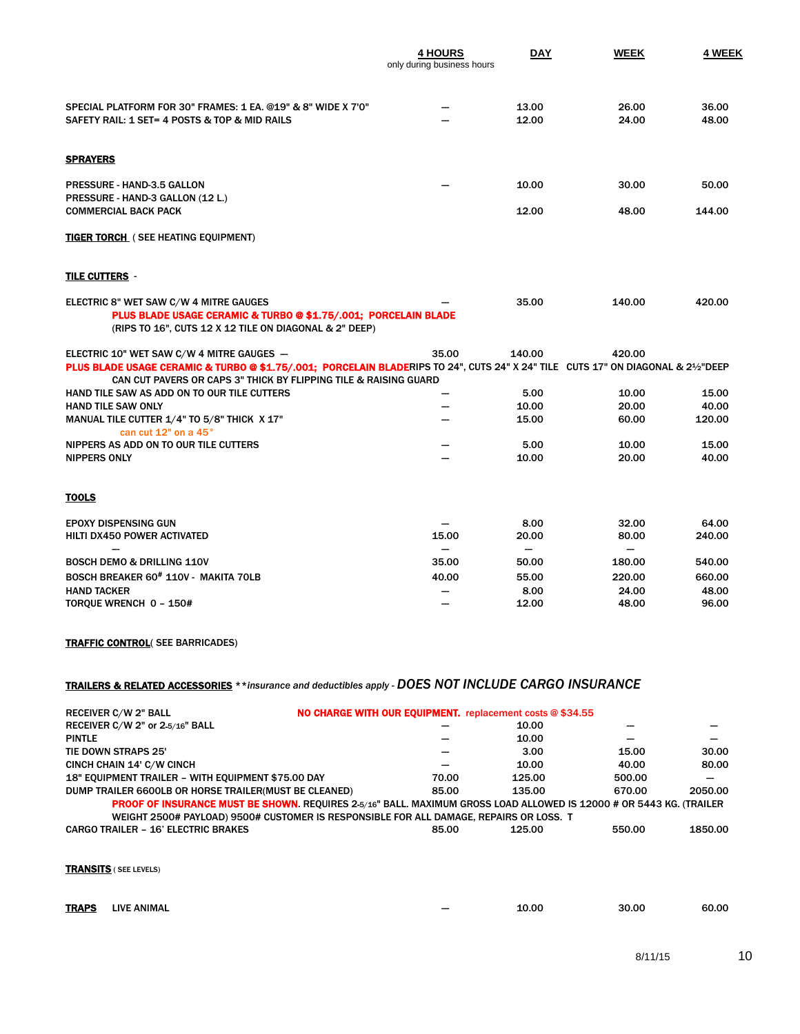|                                                                                                                                                                                                                                                   | <b>4 HOURS</b><br>only during business hours | <b>DAY</b>                        | <b>WEEK</b>               | 4 WEEK         |
|---------------------------------------------------------------------------------------------------------------------------------------------------------------------------------------------------------------------------------------------------|----------------------------------------------|-----------------------------------|---------------------------|----------------|
| SPECIAL PLATFORM FOR 30" FRAMES: 1 EA. @19" & 8" WIDE X 7'0"<br>SAFETY RAIL: 1 SET= 4 POSTS & TOP & MID RAILS                                                                                                                                     |                                              | 13.00<br>12.00                    | 26.00<br>24.00            | 36.00<br>48.00 |
| <b>SPRAYERS</b>                                                                                                                                                                                                                                   |                                              |                                   |                           |                |
| <b>PRESSURE - HAND-3.5 GALLON</b><br>PRESSURE - HAND-3 GALLON (12 L.)                                                                                                                                                                             |                                              | 10.00                             | 30.00                     | 50.00          |
| <b>COMMERCIAL BACK PACK</b>                                                                                                                                                                                                                       |                                              | 12.00                             | 48.00                     | 144.00         |
| <b>TIGER TORCH</b> ( SEE HEATING EQUIPMENT)                                                                                                                                                                                                       |                                              |                                   |                           |                |
| TILE CUTTERS -                                                                                                                                                                                                                                    |                                              |                                   |                           |                |
| ELECTRIC 8" WET SAW C/W 4 MITRE GAUGES<br>PLUS BLADE USAGE CERAMIC & TURBO @ \$1.75/.001; PORCELAIN BLADE<br>(RIPS TO 16", CUTS 12 X 12 TILE ON DIAGONAL & 2" DEEP)                                                                               |                                              | 35.00                             | 140.00                    | 420.00         |
| ELECTRIC 10" WET SAW C/W 4 MITRE GAUGES -<br>PLUS BLADE USAGE CERAMIC & TURBO @ \$1.75/.001; PORCELAIN BLADERIPS TO 24", CUTS 24" X 24" TILE CUTS 17" ON DIAGONAL & 21/2"DEEP<br>CAN CUT PAVERS OR CAPS 3" THICK BY FLIPPING TILE & RAISING GUARD | 35.00                                        | 140.00                            | 420.00                    |                |
| HAND TILE SAW AS ADD ON TO OUR TILE CUTTERS                                                                                                                                                                                                       |                                              | 5.00                              | 10.00                     | 15.00          |
| <b>HAND TILE SAW ONLY</b>                                                                                                                                                                                                                         |                                              | 10.00                             | 20.00                     | 40.00          |
| MANUAL TILE CUTTER 1/4" TO 5/8" THICK X 17"                                                                                                                                                                                                       |                                              | 15.00                             | 60.00                     | 120.00         |
| can cut 12" on a 45°                                                                                                                                                                                                                              |                                              |                                   |                           |                |
| NIPPERS AS ADD ON TO OUR TILE CUTTERS<br><b>NIPPERS ONLY</b>                                                                                                                                                                                      |                                              | 5.00<br>10.00                     | 10.00<br>20.00            | 15.00<br>40.00 |
| <u>TOOLS</u>                                                                                                                                                                                                                                      |                                              |                                   |                           |                |
| <b>EPOXY DISPENSING GUN</b>                                                                                                                                                                                                                       |                                              | 8.00                              | 32.00                     | 64.00          |
| HILTI DX450 POWER ACTIVATED                                                                                                                                                                                                                       | 15.00                                        | 20.00                             | 80.00                     | 240.00         |
| <b>BOSCH DEMO &amp; DRILLING 110V</b>                                                                                                                                                                                                             | 35.00                                        | $\overline{\phantom{0}}$<br>50.00 | $\qquad \qquad$<br>180.00 | 540.00         |
| BOSCH BREAKER 60 <sup>#</sup> 110V - MAKITA 70LB                                                                                                                                                                                                  | 40.00                                        | 55.00                             | 220.00                    | 660.00         |
| <b>HAND TACKER</b>                                                                                                                                                                                                                                |                                              | 8.00                              | 24.00                     | 48.00          |
| TORQUE WRENCH 0 - 150#                                                                                                                                                                                                                            |                                              | 12.00                             | 48.00                     | 96.00          |

#### TRAFFIC CONTROL( SEE BARRICADES)

### TRAILERS & RELATED ACCESSORIES \*\**insurance and deductibles apply* - *DOES NOT INCLUDE CARGO INSURANCE*

| NO CHARGE WITH OUR EQUIPMENT. replacement costs @ \$34.55<br><b>RECEIVER C/W 2" BALL</b>                                   |       |        |        |         |
|----------------------------------------------------------------------------------------------------------------------------|-------|--------|--------|---------|
| RECEIVER C/W 2" or 2-5/16" BALL                                                                                            |       | 10.00  |        |         |
| <b>PINTLE</b>                                                                                                              |       | 10.00  |        |         |
| TIE DOWN STRAPS 25'                                                                                                        |       | 3.00   | 15.00  | 30.00   |
| CINCH CHAIN 14' C/W CINCH                                                                                                  |       | 10.00  | 40.00  | 80.00   |
| 18" EQUIPMENT TRAILER - WITH EQUIPMENT \$75.00 DAY                                                                         | 70.00 | 125.00 | 500.00 |         |
| DUMP TRAILER 6600LB OR HORSE TRAILER(MUST BE CLEANED)                                                                      | 85.00 | 135.00 | 670.00 | 2050.00 |
| <b>PROOF OF INSURANCE MUST BE SHOWN.</b> REQUIRES 2-5/16" BALL. MAXIMUM GROSS LOAD ALLOWED IS 12000 # OR 5443 KG. (TRAILER |       |        |        |         |
| WEIGHT 2500# PAYLOAD) 9500# CUSTOMER IS RESPONSIBLE FOR ALL DAMAGE, REPAIRS OR LOSS. T                                     |       |        |        |         |
| <b>CARGO TRAILER - 16' ELECTRIC BRAKES</b>                                                                                 | 85.00 | 125.00 | 550.00 | 1850.00 |
|                                                                                                                            |       |        |        |         |

TRANSITS ( SEE LEVELS)

| <b>TRAPS</b> | <b>LIVE ANIMAL</b> | 10.00 | 30.00 | 60.00 |
|--------------|--------------------|-------|-------|-------|
|              |                    |       |       |       |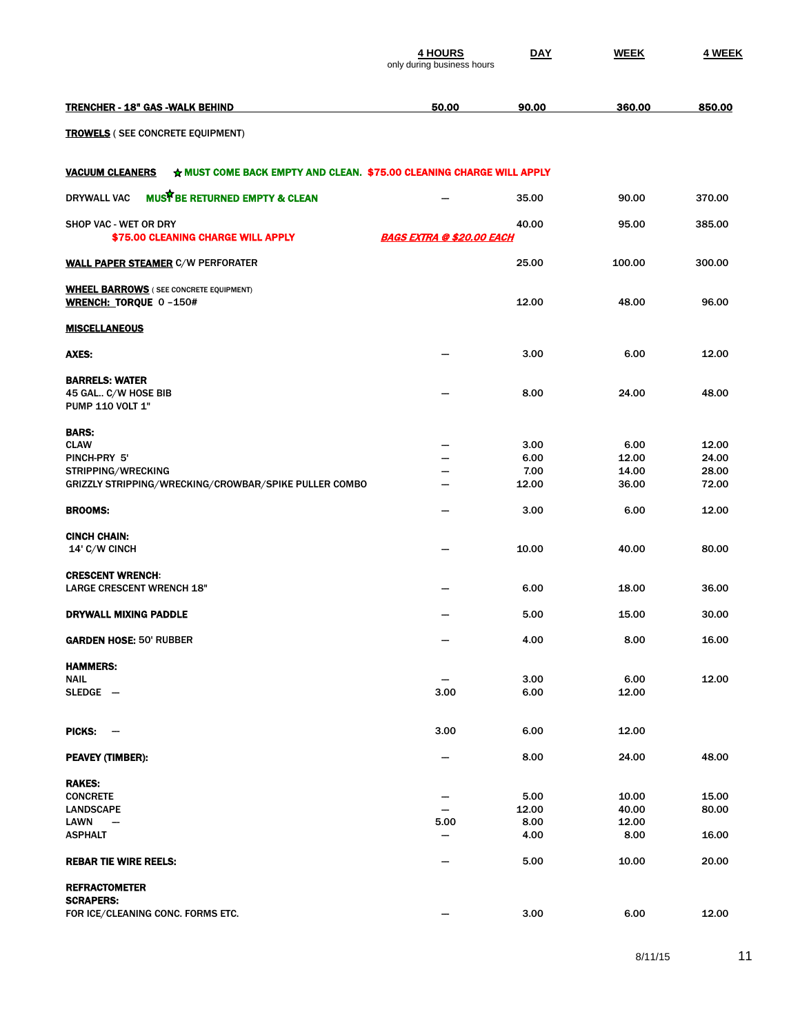|                                                                                                | <b>4 HOURS</b><br>only during business hours | DAY           | <b>WEEK</b>    | 4 WEEK         |
|------------------------------------------------------------------------------------------------|----------------------------------------------|---------------|----------------|----------------|
| <u> TRENCHER - 18" GAS -WALK BEHIND</u>                                                        | 50.00                                        | 90.00         | 360.00         | 850.00         |
| <b>TROWELS</b> ( SEE CONCRETE EQUIPMENT)                                                       |                                              |               |                |                |
| * MUST COME BACK EMPTY AND CLEAN. \$75.00 CLEANING CHARGE WILL APPLY<br><u>VACUUM CLEANERS</u> |                                              |               |                |                |
| MUST BE RETURNED EMPTY & CLEAN<br>DRYWALL VAC                                                  |                                              | 35.00         | 90.00          | 370.00         |
| SHOP VAC - WET OR DRY<br>\$75.00 CLEANING CHARGE WILL APPLY                                    | <b>BAGS EXTRA @ \$20.00 EACH</b>             | 40.00         | 95.00          | 385.00         |
| <u>WALL PAPER STEAMER</u> C/W PERFORATER                                                       |                                              | 25.00         | 100.00         | 300.00         |
| <b>WHEEL BARROWS</b> (SEE CONCRETE EQUIPMENT)<br>WRENCH: TORQUE 0-150#                         |                                              | 12.00         | 48.00          | 96.00          |
| MISCELLANEOUS                                                                                  |                                              |               |                |                |
| AXES:                                                                                          |                                              | 3.00          | 6.00           | 12.00          |
| <b>BARRELS: WATER</b><br>45 GAL C/W HOSE BIB<br><b>PUMP 110 VOLT 1"</b>                        |                                              | 8.00          | 24.00          | 48.00          |
| BARS:<br><b>CLAW</b>                                                                           |                                              | 3.00          | 6.00           | 12.00          |
| PINCH-PRY 5'                                                                                   | --                                           | 6.00          | 12.00          | 24.00          |
| <b>STRIPPING/WRECKING</b>                                                                      | -                                            | 7.00          | 14.00          | 28.00          |
| GRIZZLY STRIPPING/WRECKING/CROWBAR/SPIKE PULLER COMBO                                          |                                              | 12.00         | 36.00          | 72.00          |
| BROOMS:                                                                                        |                                              | 3.00          | 6.00           | 12.00          |
| CINCH CHAIN:<br>14' C/W CINCH                                                                  |                                              | 10.00         | 40.00          | 80.00          |
| <b>CRESCENT WRENCH:</b><br><b>LARGE CRESCENT WRENCH 18"</b>                                    |                                              | 6.00          | 18.00          | 36.00          |
| DRYWALL MIXING PADDLE                                                                          |                                              | 5.00          | 15.00          | 30.00          |
| <b>GARDEN HOSE: 50' RUBBER</b>                                                                 |                                              | 4.00          | 8.00           | 16.00          |
| <b>HAMMERS:</b>                                                                                |                                              |               |                |                |
| NAIL<br>SLEDGE —                                                                               | 3.00                                         | 3.00<br>6.00  | 6.00<br>12.00  | 12.00          |
|                                                                                                |                                              |               |                |                |
| PICKS:<br>$\overline{\phantom{a}}$                                                             | 3.00                                         | 6.00          | 12.00          |                |
| PEAVEY (TIMBER):                                                                               |                                              | 8.00          | 24.00          | 48.00          |
| RAKES:                                                                                         |                                              |               |                |                |
| <b>CONCRETE</b><br><b>LANDSCAPE</b>                                                            |                                              | 5.00<br>12.00 | 10.00<br>40.00 | 15.00<br>80.00 |
|                                                                                                |                                              | 8.00          |                |                |
| LAWN<br>$\overline{\phantom{m}}$<br>ASPHALT                                                    | 5.00<br>-                                    | 4.00          | 12.00<br>8.00  | 16.00          |
|                                                                                                |                                              | 5.00          | 10.00          | 20.00          |
| REBAR TIE WIRE REELS:<br>REFRACTOMETER                                                         |                                              |               |                |                |
| <b>SCRAPERS:</b>                                                                               |                                              |               |                |                |
| FOR ICE/CLEANING CONC. FORMS ETC.                                                              |                                              | 3.00          | 6.00           | 12.00          |